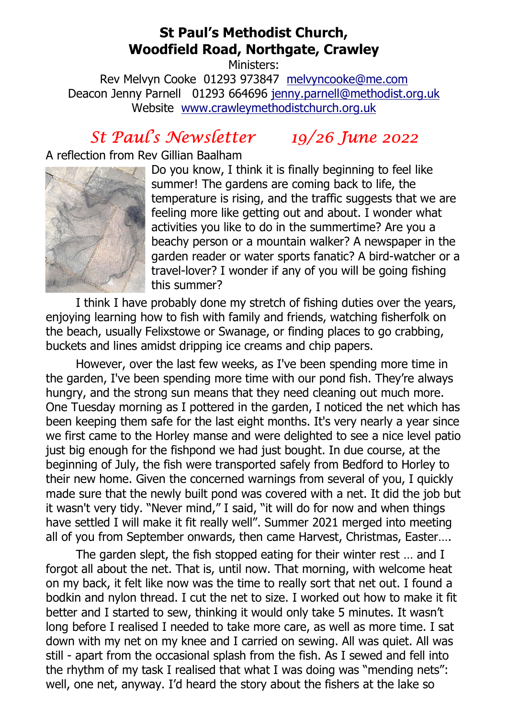# St Paul's Methodist Church, Woodfield Road, Northgate, Crawley

Ministers: Rev Melvyn Cooke 01293 973847 melvyncooke@me.com Deacon Jenny Parnell 01293 664696 jenny.parnell@methodist.org.uk Website www.crawleymethodistchurch.org.uk

# St Paul's Newsletter 19/26 June 2022

### A reflection from Rev Gillian Baalham



Do you know, I think it is finally beginning to feel like summer! The gardens are coming back to life, the temperature is rising, and the traffic suggests that we are feeling more like getting out and about. I wonder what activities you like to do in the summertime? Are you a beachy person or a mountain walker? A newspaper in the garden reader or water sports fanatic? A bird-watcher or a travel-lover? I wonder if any of you will be going fishing this summer?

 I think I have probably done my stretch of fishing duties over the years, enjoying learning how to fish with family and friends, watching fisherfolk on the beach, usually Felixstowe or Swanage, or finding places to go crabbing, buckets and lines amidst dripping ice creams and chip papers.

 However, over the last few weeks, as I've been spending more time in the garden, I've been spending more time with our pond fish. They're always hungry, and the strong sun means that they need cleaning out much more. One Tuesday morning as I pottered in the garden, I noticed the net which has been keeping them safe for the last eight months. It's very nearly a year since we first came to the Horley manse and were delighted to see a nice level patio just big enough for the fishpond we had just bought. In due course, at the beginning of July, the fish were transported safely from Bedford to Horley to their new home. Given the concerned warnings from several of you, I quickly made sure that the newly built pond was covered with a net. It did the job but it wasn't very tidy. "Never mind," I said, "it will do for now and when things have settled I will make it fit really well". Summer 2021 merged into meeting all of you from September onwards, then came Harvest, Christmas, Easter….

 The garden slept, the fish stopped eating for their winter rest … and I forgot all about the net. That is, until now. That morning, with welcome heat on my back, it felt like now was the time to really sort that net out. I found a bodkin and nylon thread. I cut the net to size. I worked out how to make it fit better and I started to sew, thinking it would only take 5 minutes. It wasn't long before I realised I needed to take more care, as well as more time. I sat down with my net on my knee and I carried on sewing. All was quiet. All was still - apart from the occasional splash from the fish. As I sewed and fell into the rhythm of my task I realised that what I was doing was "mending nets": well, one net, anyway. I'd heard the story about the fishers at the lake so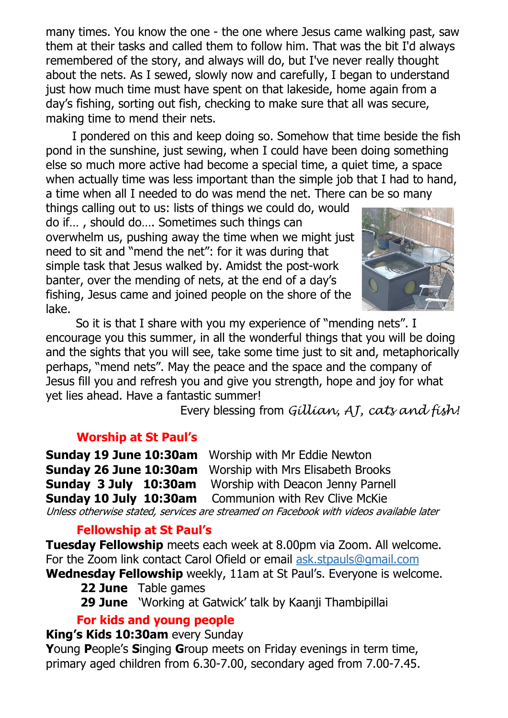many times. You know the one - the one where Jesus came walking past, saw them at their tasks and called them to follow him. That was the bit I'd always remembered of the story, and always will do, but I've never really thought about the nets. As I sewed, slowly now and carefully, I began to understand just how much time must have spent on that lakeside, home again from a day's fishing, sorting out fish, checking to make sure that all was secure, making time to mend their nets.

 I pondered on this and keep doing so. Somehow that time beside the fish pond in the sunshine, just sewing, when I could have been doing something else so much more active had become a special time, a quiet time, a space when actually time was less important than the simple job that I had to hand, a time when all I needed to do was mend the net. There can be so many

things calling out to us: lists of things we could do, would do if… , should do…. Sometimes such things can overwhelm us, pushing away the time when we might just need to sit and "mend the net": for it was during that simple task that Jesus walked by. Amidst the post-work banter, over the mending of nets, at the end of a day's fishing, Jesus came and joined people on the shore of the lake.



 So it is that I share with you my experience of "mending nets". I encourage you this summer, in all the wonderful things that you will be doing and the sights that you will see, take some time just to sit and, metaphorically perhaps, "mend nets". May the peace and the space and the company of Jesus fill you and refresh you and give you strength, hope and joy for what yet lies ahead. Have a fantastic summer!

Every blessing from Gillian, AJ, cats and fish!

#### Worship at St Paul's

|                                                                                        | <b>Sunday 19 June 10:30am</b> Worship with Mr Eddie Newton      |
|----------------------------------------------------------------------------------------|-----------------------------------------------------------------|
|                                                                                        | <b>Sunday 26 June 10:30am</b> Worship with Mrs Elisabeth Brooks |
|                                                                                        | <b>Sunday 3 July 10:30am</b> Worship with Deacon Jenny Parnell  |
|                                                                                        | <b>Sunday 10 July 10:30am</b> Communion with Rev Clive McKie    |
| Unless otherwise stated, services are streamed on Facebook with videos available later |                                                                 |

# Fellowship at St Paul's

Tuesday Fellowship meets each week at 8.00pm via Zoom. All welcome. For the Zoom link contact Carol Ofield or email ask.stpauls@gmail.com Wednesday Fellowship weekly, 11am at St Paul's. Everyone is welcome.

- 22 June Table games
	- **29 June** 'Working at Gatwick' talk by Kaanji Thambipillai

# For kids and young people

#### King's Kids 10:30am every Sunday

Young People's Singing Group meets on Friday evenings in term time, primary aged children from 6.30-7.00, secondary aged from 7.00-7.45.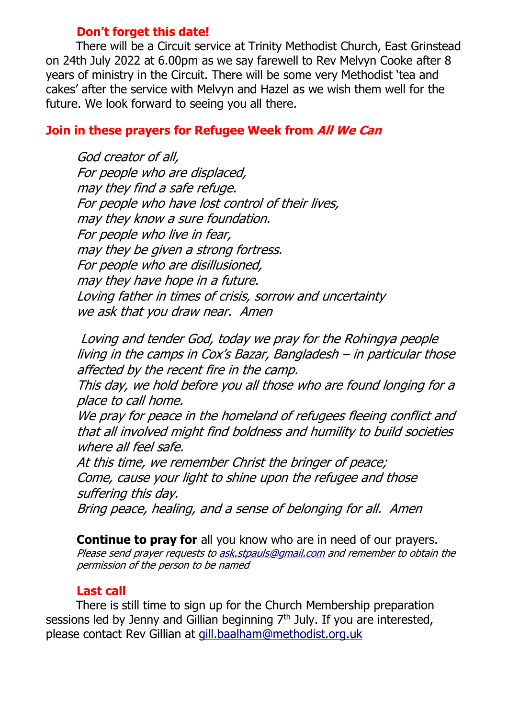#### Don't forget this date!

 There will be a Circuit service at Trinity Methodist Church, East Grinstead on 24th July 2022 at 6.00pm as we say farewell to Rev Melvyn Cooke after 8 years of ministry in the Circuit. There will be some very Methodist 'tea and cakes' after the service with Melvyn and Hazel as we wish them well for the future. We look forward to seeing you all there.

### Join in these prayers for Refugee Week from All We Can

God creator of all, For people who are displaced, may they find a safe refuge. For people who have lost control of their lives, may they know a sure foundation. For people who live in fear, may they be given a strong fortress. For people who are disillusioned, may they have hope in a future. Loving father in times of crisis, sorrow and uncertainty we ask that you draw near. Amen

 Loving and tender God, today we pray for the Rohingya people living in the camps in Cox's Bazar, Bangladesh – in particular those affected by the recent fire in the camp.

This day, we hold before you all those who are found longing for a place to call home.

We pray for peace in the homeland of refugees fleeing conflict and that all involved might find boldness and humility to build societies where all feel safe.

At this time, we remember Christ the bringer of peace; Come, cause your light to shine upon the refugee and those suffering this day.

Bring peace, healing, and a sense of belonging for all. Amen

**Continue to pray for** all you know who are in need of our prayers. Please send prayer requests to ask.stpauls@gmail.com and remember to obtain the permission of the person to be named

#### Last call

 There is still time to sign up for the Church Membership preparation sessions led by Jenny and Gillian beginning 7<sup>th</sup> July. If you are interested, please contact Rev Gillian at gill.baalham@methodist.org.uk